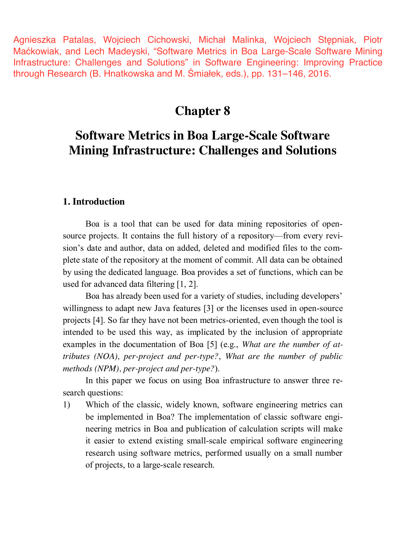Agnieszka Patalas, Wojciech Cichowski, Michał Malinka, Wojciech Stępniak, Piotr Maćkowiak, and Lech Madeyski, "Software Metrics in Boa Large-Scale Software Mining Infrastructure: Challenges and Solutions" in Software Engineering: Improving Practice through Research (B. Hnatkowska and M. Śmiałek, eds.), pp. 131–146, 2016.

# **Chapter 8**

# **Software Metrics in Boa Large-Scale Software Mining Infrastructure: Challenges and Solutions**

# **1. Introduction**

Boa is a tool that can be used for data mining repositories of opensource projects. It contains the full history of a repository—from every revision's date and author, data on added, deleted and modified files to the complete state of the repository at the moment of commit. All data can be obtained by using the dedicated language. Boa provides a set of functions, which can be used for advanced data filtering [1, 2].

Boa has already been used for a variety of studies, including developers' willingness to adapt new Java features [3] or the licenses used in open-source projects [4]. So far they have not been metrics-oriented, even though the tool is intended to be used this way, as implicated by the inclusion of appropriate examples in the documentation of Boa [5] (e.g., *What are the number of attributes (NOA), per-project and per-type?*, *What are the number of public methods (NPM), per-project and per-type?*).

In this paper we focus on using Boa infrastructure to answer three research questions:

1) Which of the classic, widely known, software engineering metrics can be implemented in Boa? The implementation of classic software engineering metrics in Boa and publication of calculation scripts will make it easier to extend existing small-scale empirical software engineering research using software metrics, performed usually on a small number of projects, to a large-scale research.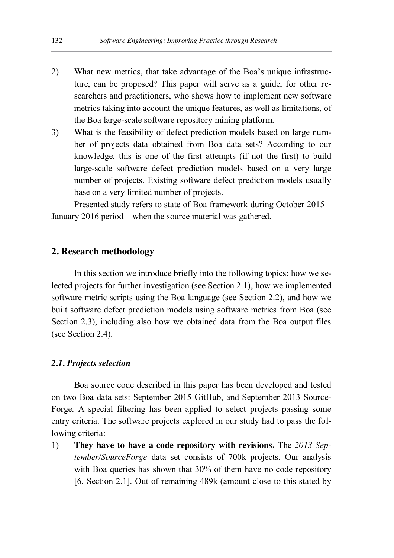- 2) What new metrics, that take advantage of the Boa's unique infrastructure, can be proposed? This paper will serve as a guide, for other researchers and practitioners, who shows how to implement new software metrics taking into account the unique features, as well as limitations, of the Boa large-scale software repository mining platform.
- 3) What is the feasibility of defect prediction models based on large number of projects data obtained from Boa data sets? According to our knowledge, this is one of the first attempts (if not the first) to build large-scale software defect prediction models based on a very large number of projects. Existing software defect prediction models usually base on a very limited number of projects.

Presented study refers to state of Boa framework during October 2015 – January 2016 period – when the source material was gathered.

#### **2. Research methodology**

In this section we introduce briefly into the following topics: how we selected projects for further investigation (see Section 2.1), how we implemented software metric scripts using the Boa language (see Section 2.2), and how we built software defect prediction models using software metrics from Boa (see Section 2.3), including also how we obtained data from the Boa output files (see Section 2.4).

#### *2.1. Projects selection*

Boa source code described in this paper has been developed and tested on two Boa data sets: September 2015 GitHub, and September 2013 Source-Forge. A special filtering has been applied to select projects passing some entry criteria. The software projects explored in our study had to pass the following criteria:

1) **They have to have a code repository with revisions.** The *2013 September/SourceForge* data set consists of 700k projects. Our analysis with Boa queries has shown that 30% of them have no code repository [6, Section 2.1]. Out of remaining 489k (amount close to this stated by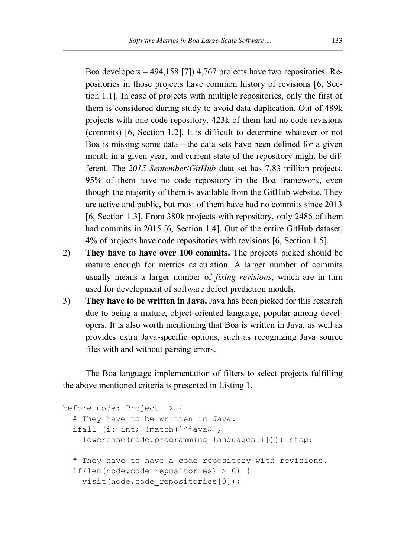Boa developers – 494,158 [7]) 4,767 projects have two repositories. Repositories in those projects have common history of revisions [6, Section 1.1]. In case of projects with multiple repositories, only the first of them is considered during study to avoid data duplication. Out of 489k projects with one code repository, 423k of them had no code revisions (commits) [6, Section 1.2]. It is difficult to determine whatever or not Boa is missing some data—the data sets have been defined for a given month in a given year, and current state of the repository might be different. The *2015 September/GitHub* data set has 7.83 million projects. 95% of them have no code repository in the Boa framework, even though the majority of them is available from the GitHub website. They are active and public, but most of them have had no commits since 2013 [6, Section 1.3]. From 380k projects with repository, only 2486 of them had commits in 2015 [6, Section 1.4]. Out of the entire GitHub dataset, 4% of projects have code repositories with revisions [6, Section 1.5].

- 2) **They have to have over 100 commits.** The projects picked should be mature enough for metrics calculation. A larger number of commits usually means a larger number of *fixing revisions*, which are in turn used for development of software defect prediction models.
- 3) **They have to be written in Java.** Java has been picked for this research due to being a mature, object-oriented language, popular among developers. It is also worth mentioning that Boa is written in Java, as well as provides extra Java-specific options, such as recognizing Java source files with and without parsing errors.

The Boa language implementation of filters to select projects fulfilling the above mentioned criteria is presented in Listing 1.

```
before node: Project -> {
   # They have to be written in Java.
  ifall (i: int; !match(`^java$`,
    lowercase(node.programming languages[i]))) stop;
   # They have to have a code repository with revisions.
  if(len(node.code repositories) > 0) {
    visit(node.code_repositories[0]);
```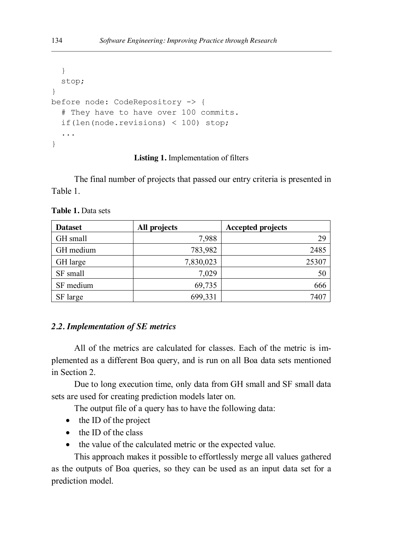```
 }
   stop;
}
before node: CodeRepository -> {
   # They have to have over 100 commits.
   if(len(node.revisions) < 100) stop;
   ...
}
```
#### **Listing 1.** Implementation of filters

The final number of projects that passed our entry criteria is presented in Table 1.

**Table 1.** Data sets

| <b>Dataset</b> | All projects | <b>Accepted projects</b> |
|----------------|--------------|--------------------------|
| GH small       | 7,988        | 29                       |
| GH medium      | 783,982      | 2485                     |
| GH large       | 7,830,023    | 25307                    |
| SF small       | 7,029        | 50                       |
| SF medium      | 69,735       | 666                      |
| SF large       | 699,331      | 7407                     |

#### *2.2. Implementation of SE metrics*

All of the metrics are calculated for classes. Each of the metric is implemented as a different Boa query, and is run on all Boa data sets mentioned in Section 2.

Due to long execution time, only data from GH small and SF small data sets are used for creating prediction models later on.

The output file of a query has to have the following data:

- $\bullet$  the ID of the project
- $\bullet$  the ID of the class
- the value of the calculated metric or the expected value.

This approach makes it possible to effortlessly merge all values gathered as the outputs of Boa queries, so they can be used as an input data set for a prediction model.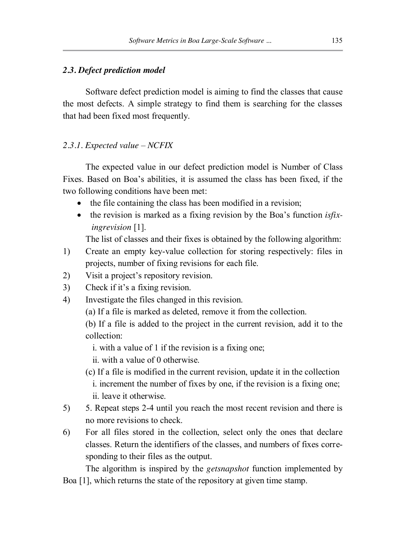# *2.3. Defect prediction model*

Software defect prediction model is aiming to find the classes that cause the most defects. A simple strategy to find them is searching for the classes that had been fixed most frequently.

# *2.3.1. Expected value – NCFIX*

The expected value in our defect prediction model is Number of Class Fixes. Based on Boa's abilities, it is assumed the class has been fixed, if the two following conditions have been met:

- the file containing the class has been modified in a revision;
- the revision is marked as a fixing revision by the Boa's function *isfixingrevision* [1].

The list of classes and their fixes is obtained by the following algorithm:

- 1) Create an empty key-value collection for storing respectively: files in projects, number of fixing revisions for each file.
- 2) Visit a project's repository revision.
- 3) Check if it's a fixing revision.
- 4) Investigate the files changed in this revision.
	- (a) If a file is marked as deleted, remove it from the collection.

(b) If a file is added to the project in the current revision, add it to the collection:

i. with a value of 1 if the revision is a fixing one;

ii. with a value of 0 otherwise.

- (c) If a file is modified in the current revision, update it in the collection i. increment the number of fixes by one, if the revision is a fixing one; ii. leave it otherwise.
- 5) 5. Repeat steps 2-4 until you reach the most recent revision and there is no more revisions to check.
- 6) For all files stored in the collection, select only the ones that declare classes. Return the identifiers of the classes, and numbers of fixes corresponding to their files as the output.

The algorithm is inspired by the *getsnapshot* function implemented by Boa [1], which returns the state of the repository at given time stamp.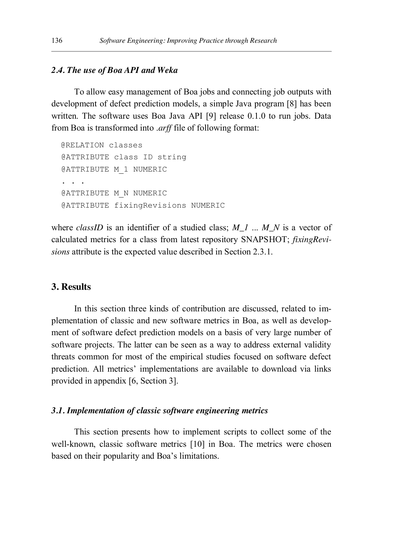#### *2.4. The use of Boa API and Weka*

To allow easy management of Boa jobs and connecting job outputs with development of defect prediction models, a simple Java program [8] has been written. The software uses Boa Java API [9] release 0.1.0 to run jobs. Data from Boa is transformed into .*arff* file of following format:

```
@RELATION classes
   @ATTRIBUTE class ID string
   @ATTRIBUTE M_1 NUMERIC
 . . .
   @ATTRIBUTE M_N NUMERIC
   @ATTRIBUTE fixingRevisions NUMERIC
```
where *classID* is an identifier of a studied class; *M\_1* ... *M\_N* is a vector of calculated metrics for a class from latest repository SNAPSHOT; *fixingRevisions* attribute is the expected value described in Section 2.3.1.

#### **3. Results**

In this section three kinds of contribution are discussed, related to implementation of classic and new software metrics in Boa, as well as development of software defect prediction models on a basis of very large number of software projects. The latter can be seen as a way to address external validity threats common for most of the empirical studies focused on software defect prediction. All metrics' implementations are available to download via links provided in appendix [6, Section 3].

#### *3.1. Implementation of classic software engineering metrics*

This section presents how to implement scripts to collect some of the well-known, classic software metrics [10] in Boa. The metrics were chosen based on their popularity and Boa's limitations.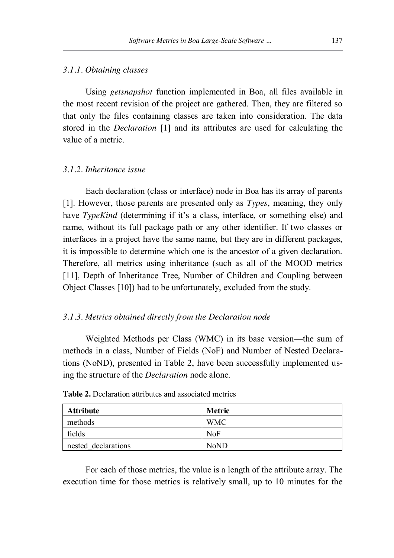#### *3.1.1. Obtaining classes*

Using *getsnapshot* function implemented in Boa, all files available in the most recent revision of the project are gathered. Then, they are filtered so that only the files containing classes are taken into consideration. The data stored in the *Declaration* [1] and its attributes are used for calculating the value of a metric.

#### *3.1.2. Inheritance issue*

Each declaration (class or interface) node in Boa has its array of parents [1]. However, those parents are presented only as *Types*, meaning, they only have *TypeKind* (determining if it's a class, interface, or something else) and name, without its full package path or any other identifier. If two classes or interfaces in a project have the same name, but they are in different packages, it is impossible to determine which one is the ancestor of a given declaration. Therefore, all metrics using inheritance (such as all of the MOOD metrics [11], Depth of Inheritance Tree, Number of Children and Coupling between Object Classes [10]) had to be unfortunately, excluded from the study.

#### *3.1.3. Metrics obtained directly from the Declaration node*

Weighted Methods per Class (WMC) in its base version—the sum of methods in a class, Number of Fields (NoF) and Number of Nested Declarations (NoND), presented in Table 2, have been successfully implemented using the structure of the *Declaration* node alone.

| <b>Attribute</b>    | <b>Metric</b> |
|---------------------|---------------|
| methods             | <b>WMC</b>    |
| fields              | <b>NoF</b>    |
| nested declarations | <b>NoND</b>   |

**Table 2.** Declaration attributes and associated metrics

For each of those metrics, the value is a length of the attribute array. The execution time for those metrics is relatively small, up to 10 minutes for the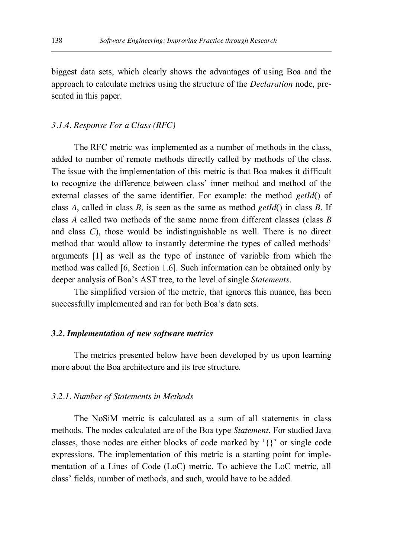biggest data sets, which clearly shows the advantages of using Boa and the approach to calculate metrics using the structure of the *Declaration* node, presented in this paper.

#### *3.1.4. Response For a Class (RFC)*

The RFC metric was implemented as a number of methods in the class, added to number of remote methods directly called by methods of the class. The issue with the implementation of this metric is that Boa makes it difficult to recognize the difference between class' inner method and method of the external classes of the same identifier. For example: the method *getId*() of class *A*, called in class *B*, is seen as the same as method *getId*() in class *B*. If class *A* called two methods of the same name from different classes (class *B* and class *C*), those would be indistinguishable as well. There is no direct method that would allow to instantly determine the types of called methods' arguments [1] as well as the type of instance of variable from which the method was called [6, Section 1.6]. Such information can be obtained only by deeper analysis of Boa's AST tree, to the level of single *Statements*.

The simplified version of the metric, that ignores this nuance, has been successfully implemented and ran for both Boa's data sets.

#### *3.2. Implementation of new software metrics*

The metrics presented below have been developed by us upon learning more about the Boa architecture and its tree structure.

#### *3.2.1. Number of Statements in Methods*

The NoSiM metric is calculated as a sum of all statements in class methods. The nodes calculated are of the Boa type *Statement*. For studied Java classes, those nodes are either blocks of code marked by '{}' or single code expressions. The implementation of this metric is a starting point for implementation of a Lines of Code (LoC) metric. To achieve the LoC metric, all class' fields, number of methods, and such, would have to be added.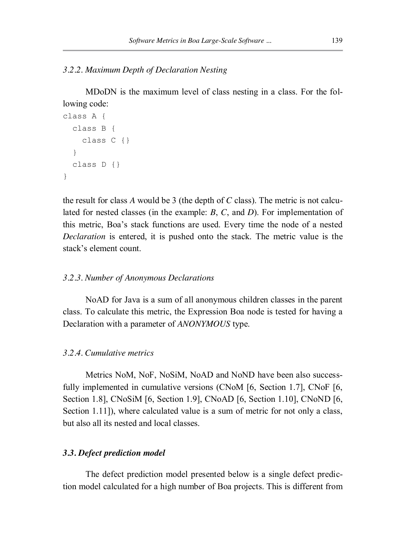#### *3.2.2. Maximum Depth of Declaration Nesting*

MDoDN is the maximum level of class nesting in a class. For the following code:

```
class A {
   class B {
     class C {}
   }
   class D {}
}
```
the result for class *A* would be 3 (the depth of *C* class). The metric is not calculated for nested classes (in the example: *B*, *C*, and *D*). For implementation of this metric, Boa's stack functions are used. Every time the node of a nested *Declaration* is entered, it is pushed onto the stack. The metric value is the stack's element count.

#### *3.2.3. Number of Anonymous Declarations*

NoAD for Java is a sum of all anonymous children classes in the parent class. To calculate this metric, the Expression Boa node is tested for having a Declaration with a parameter of *ANONYMOUS* type.

#### *3.2.4. Cumulative metrics*

Metrics NoM, NoF, NoSiM, NoAD and NoND have been also successfully implemented in cumulative versions (CNoM [6, Section 1.7], CNoF [6, Section 1.8], CNoSiM [6, Section 1.9], CNoAD [6, Section 1.10], CNoND [6, Section 1.11]), where calculated value is a sum of metric for not only a class, but also all its nested and local classes.

#### *3.3. Defect prediction model*

The defect prediction model presented below is a single defect prediction model calculated for a high number of Boa projects. This is different from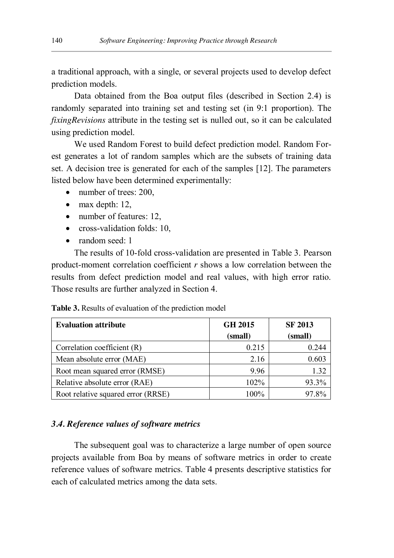a traditional approach, with a single, or several projects used to develop defect prediction models.

Data obtained from the Boa output files (described in Section 2.4) is randomly separated into training set and testing set (in 9:1 proportion). The *fixingRevisions* attribute in the testing set is nulled out, so it can be calculated using prediction model.

We used Random Forest to build defect prediction model. Random Forest generates a lot of random samples which are the subsets of training data set. A decision tree is generated for each of the samples [12]. The parameters listed below have been determined experimentally:

- $\bullet$  number of trees: 200,
- $\bullet$  max depth: 12,
- $\bullet$  number of features: 12,
- $\bullet$  cross-validation folds: 10,
- $\bullet$  random seed: 1

The results of 10-fold cross-validation are presented in Table 3. Pearson product-moment correlation coefficient *r* shows a low correlation between the results from defect prediction model and real values, with high error ratio. Those results are further analyzed in Section 4.

| <b>Table 3.</b> Results of evaluation of the prediction model |  |  |  |
|---------------------------------------------------------------|--|--|--|
|---------------------------------------------------------------|--|--|--|

| <b>Evaluation attribute</b>        | <b>GH 2015</b> | <b>SF 2013</b> |  |
|------------------------------------|----------------|----------------|--|
|                                    | (small)        | (small)        |  |
| Correlation coefficient (R)        | 0.215          | 0.244          |  |
| Mean absolute error (MAE)          | 2.16           | 0.603          |  |
| Root mean squared error (RMSE)     | 9.96           | 1.32           |  |
| Relative absolute error (RAE)      | 102%           | 93.3%          |  |
| Root relative squared error (RRSE) | 100%           | 97.8%          |  |

### *3.4. Reference values of software metrics*

The subsequent goal was to characterize a large number of open source projects available from Boa by means of software metrics in order to create reference values of software metrics. Table 4 presents descriptive statistics for each of calculated metrics among the data sets.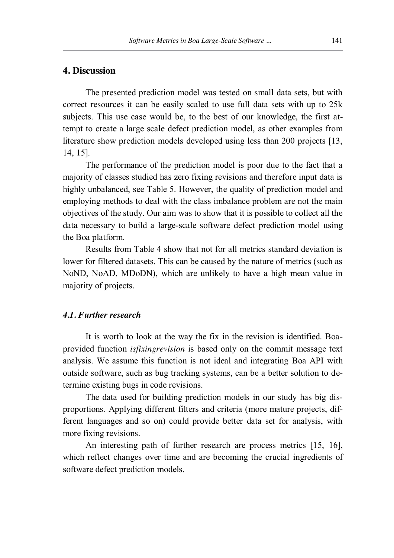# **4. Discussion**

The presented prediction model was tested on small data sets, but with correct resources it can be easily scaled to use full data sets with up to 25k subjects. This use case would be, to the best of our knowledge, the first attempt to create a large scale defect prediction model, as other examples from literature show prediction models developed using less than 200 projects [13, 14, 15].

The performance of the prediction model is poor due to the fact that a majority of classes studied has zero fixing revisions and therefore input data is highly unbalanced, see Table 5. However, the quality of prediction model and employing methods to deal with the class imbalance problem are not the main objectives of the study. Our aim was to show that it is possible to collect all the data necessary to build a large-scale software defect prediction model using the Boa platform.

Results from Table 4 show that not for all metrics standard deviation is lower for filtered datasets. This can be caused by the nature of metrics (such as NoND, NoAD, MDoDN), which are unlikely to have a high mean value in majority of projects.

#### *4.1. Further research*

It is worth to look at the way the fix in the revision is identified. Boaprovided function *isfixingrevision* is based only on the commit message text analysis. We assume this function is not ideal and integrating Boa API with outside software, such as bug tracking systems, can be a better solution to determine existing bugs in code revisions.

The data used for building prediction models in our study has big disproportions. Applying different filters and criteria (more mature projects, different languages and so on) could provide better data set for analysis, with more fixing revisions.

An interesting path of further research are process metrics [15, 16], which reflect changes over time and are becoming the crucial ingredients of software defect prediction models.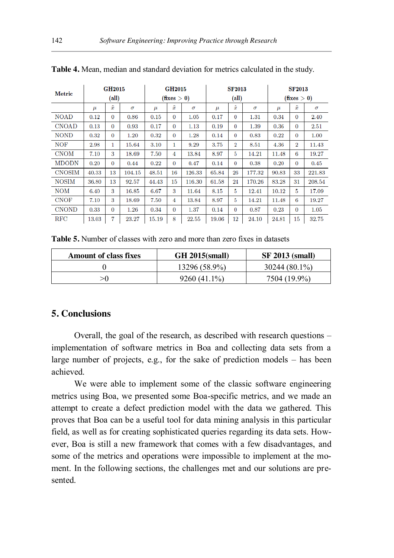| <b>Metric</b> |          | <b>CH2015</b><br>(all) |          | <b>GH2015</b><br>(fixes > 0) |             | <b>SF2013</b><br>(all) |       |             | <b>SF2013</b><br>(fixes > 0) |       |             |          |
|---------------|----------|------------------------|----------|------------------------------|-------------|------------------------|-------|-------------|------------------------------|-------|-------------|----------|
|               | $\mu$    | $\tilde{x}$            | $\sigma$ | $\mu$                        | $\tilde{x}$ | $\sigma$               | $\mu$ | $\tilde{x}$ | σ                            | $\mu$ | $\tilde{x}$ | $\sigma$ |
| <b>NOAD</b>   | 0.12     | 0                      | 0.86     | 0.15                         | $\bf{0}$    | $1.05\,$               | 0.17  | 0           | 1.31                         | 0.34  | 0           | 2.40     |
| <b>CNOAD</b>  | 0.13     | $\bf{0}$               | 0.93     | 0.17                         | $\bf{0}$    | 1.13                   | 0.19  | 0           | 1.39                         | 0.36  | 0           | 2.51     |
| <b>NOND</b>   | $0.32\,$ | 0                      | 1.20     | 0.32                         | $\bf{0}$    | 1.28                   | 0.14  | $\bf{0}$    | 0.83                         | 0.22  | 0           | 1.00     |
| NOF           | 2.98     | 1                      | 15.64    | 3.10                         | 1           | 9.29                   | 3.75  | 2           | 8.51                         | 4.36  | 2           | 11.43    |
| <b>CNOM</b>   | 7.10     | 3                      | 18.69    | 7.50                         | 4           | 13.84                  | 8.97  | 5           | 14.21                        | 11.48 | 6           | 19.27    |
| <b>MDODN</b>  | 0.20     | $\bf{0}$               | 0.44     | 0.22                         | $\bf{0}$    | 0.47                   | 0.14  | $\bf{0}$    | 0.38                         | 0.20  | 0           | 0.45     |
| <b>CNOSIM</b> | 40.33    | 13                     | 104.15   | 48.51                        | 16          | 126.33                 | 65.84 | 26          | 177.32                       | 90.83 | 33          | 221.83   |
| <b>NOSIM</b>  | 36.80    | 13                     | 92.57    | 44.43                        | 15          | 116.30                 | 61.58 | 24          | 170.26                       | 83.28 | 31          | 208.54   |
| NOM           | 6.40     | 3                      | 16.85    | 6.67                         | 3           | 11.64                  | 8.15  | 5           | 12.41                        | 10.12 | 5           | 17.09    |
| <b>CNOF</b>   | 7.10     | 3                      | 18.69    | 7.50                         | 4           | 13.84                  | 8.97  | 5           | 14.21                        | 11.48 | 6           | 19.27    |
| <b>CNOND</b>  | 0.33     | $\Omega$               | 1.26     | 0.34                         | $\Omega$    | 1.37                   | 0.14  | 0           | 0.87                         | 0.23  | 0           | 1.05     |
| $_{\rm RFC}$  | 13.03    | 7                      | 23.27    | 15.19                        | 8           | 22.55                  | 19.06 | 12          | 24.10                        | 24.81 | 15          | 32.75    |

**Table 4.** Mean, median and standard deviation for metrics calculated in the study.

**Table 5.** Number of classes with zero and more than zero fixes in datasets

| <b>Amount of class fixes</b> | <b>GH 2015</b> (small) | $SF 2013$ (small) |
|------------------------------|------------------------|-------------------|
|                              | 13296 (58.9%)          | $30244(80.1\%)$   |
|                              | $9260(41.1\%)$         | 7504 (19.9%)      |

# **5. Conclusions**

Overall, the goal of the research, as described with research questions – implementation of software metrics in Boa and collecting data sets from a large number of projects, e.g., for the sake of prediction models – has been achieved.

We were able to implement some of the classic software engineering metrics using Boa, we presented some Boa-specific metrics, and we made an attempt to create a defect prediction model with the data we gathered. This proves that Boa can be a useful tool for data mining analysis in this particular field, as well as for creating sophisticated queries regarding its data sets. However, Boa is still a new framework that comes with a few disadvantages, and some of the metrics and operations were impossible to implement at the moment. In the following sections, the challenges met and our solutions are presented.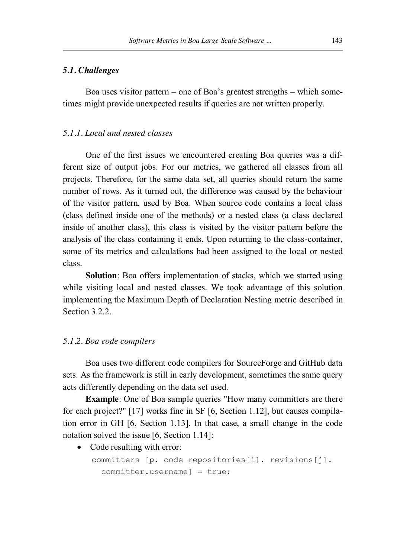#### *5.1. Challenges*

Boa uses visitor pattern – one of Boa's greatest strengths – which sometimes might provide unexpected results if queries are not written properly.

#### *5.1.1. Local and nested classes*

One of the first issues we encountered creating Boa queries was a different size of output jobs. For our metrics, we gathered all classes from all projects. Therefore, for the same data set, all queries should return the same number of rows. As it turned out, the difference was caused by the behaviour of the visitor pattern, used by Boa. When source code contains a local class (class defined inside one of the methods) or a nested class (a class declared inside of another class), this class is visited by the visitor pattern before the analysis of the class containing it ends. Upon returning to the class-container, some of its metrics and calculations had been assigned to the local or nested class.

**Solution**: Boa offers implementation of stacks, which we started using while visiting local and nested classes. We took advantage of this solution implementing the Maximum Depth of Declaration Nesting metric described in Section 3.2.2.

#### *5.1.2. Boa code compilers*

Boa uses two different code compilers for SourceForge and GitHub data sets. As the framework is still in early development, sometimes the same query acts differently depending on the data set used.

**Example**: One of Boa sample queries "How many committers are there for each project?" [17] works fine in SF [6, Section 1.12], but causes compilation error in GH [6, Section 1.13]. In that case, a small change in the code notation solved the issue [6, Section 1.14]:

 $\bullet$  Code resulting with error:

```
committers [p. code repositories[i]. revisions[j].
   committer.username] = true;
```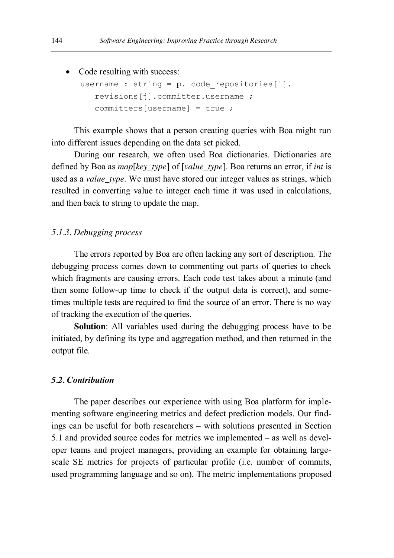#### • Code resulting with success:

```
username : string = p. code repositories[i].
    revisions[j].committer.username ;
    committers[username] = true ;
```
This example shows that a person creating queries with Boa might run into different issues depending on the data set picked.

During our research, we often used Boa dictionaries. Dictionaries are defined by Boa as *map*[*key\_type*] of [*value\_type*]. Boa returns an error, if *int* is used as a *value\_type*. We must have stored our integer values as strings, which resulted in converting value to integer each time it was used in calculations, and then back to string to update the map.

#### *5.1.3. Debugging process*

The errors reported by Boa are often lacking any sort of description. The debugging process comes down to commenting out parts of queries to check which fragments are causing errors. Each code test takes about a minute (and then some follow-up time to check if the output data is correct), and sometimes multiple tests are required to find the source of an error. There is no way of tracking the execution of the queries.

**Solution**: All variables used during the debugging process have to be initiated, by defining its type and aggregation method, and then returned in the output file.

#### *5.2. Contribution*

The paper describes our experience with using Boa platform for implementing software engineering metrics and defect prediction models. Our findings can be useful for both researchers – with solutions presented in Section 5.1 and provided source codes for metrics we implemented – as well as developer teams and project managers, providing an example for obtaining largescale SE metrics for projects of particular profile (i.e. number of commits, used programming language and so on). The metric implementations proposed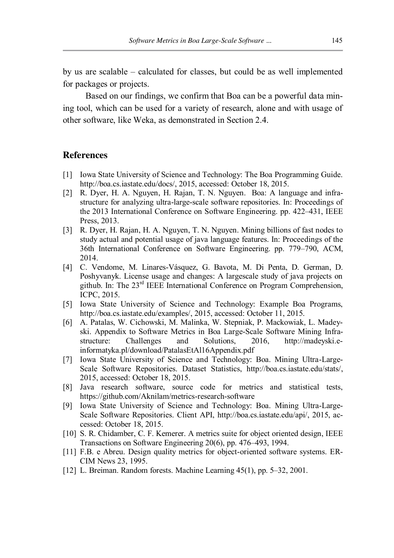by us are scalable – calculated for classes, but could be as well implemented for packages or projects.

Based on our findings, we confirm that Boa can be a powerful data mining tool, which can be used for a variety of research, alone and with usage of other software, like Weka, as demonstrated in Section 2.4.

#### **References**

- [1] Iowa State University of Science and Technology: The Boa Programming Guide. http://boa.cs.iastate.edu/docs/, 2015, accessed: October 18, 2015.
- [2] R. Dyer, H. A. Nguyen, H. Rajan, T. N. Nguyen. Boa: A language and infrastructure for analyzing ultra-large-scale software repositories. In: Proceedings of the 2013 International Conference on Software Engineering. pp. 422–431, IEEE Press, 2013.
- [3] R. Dyer, H. Rajan, H. A. Nguyen, T. N. Nguyen. Mining billions of fast nodes to study actual and potential usage of java language features. In: Proceedings of the 36th International Conference on Software Engineering. pp. 779–790, ACM, 2014.
- [4] C. Vendome, M. Linares-Vásquez, G. Bavota, M. Di Penta, D. German, D. Poshyvanyk. License usage and changes: A largescale study of java projects on github. In: The 23rd IEEE International Conference on Program Comprehension, ICPC, 2015.
- [5] Iowa State University of Science and Technology: Example Boa Programs, http://boa.cs.iastate.edu/examples/, 2015, accessed: October 11, 2015.
- [6] A. Patalas, W. Cichowski, M. Malinka, W. Stepniak, P. Mackowiak, L. Madeyski. Appendix to Software Metrics in Boa Large-Scale Software Mining Infrastructure: Challenges and Solutions, 2016, http://madeyski.einformatyka.pl/download/PatalasEtAl16Appendix.pdf
- [7] Iowa State University of Science and Technology: Boa. Mining Ultra-Large-Scale Software Repositories. Dataset Statistics, http://boa.cs.iastate.edu/stats/, 2015, accessed: October 18, 2015.
- [8] Java research software, source code for metrics and statistical tests, https://github.com/Aknilam/metrics-research-software
- [9] Iowa State University of Science and Technology: Boa. Mining Ultra-Large-Scale Software Repositories. Client API, http://boa.cs.iastate.edu/api/, 2015, accessed: October 18, 2015.
- [10] S. R. Chidamber, C. F. Kemerer. A metrics suite for object oriented design, IEEE Transactions on Software Engineering 20(6), pp. 476–493, 1994.
- [11] F.B. e Abreu. Design quality metrics for object-oriented software systems. ER-CIM News 23, 1995.
- [12] L. Breiman. Random forests. Machine Learning 45(1), pp. 5–32, 2001.